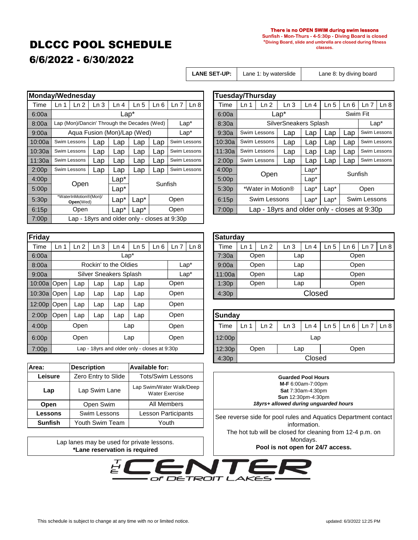# DLCCC POOL SCHEDULE

#### **There is no OPEN SWIM during swim lessons**

**Sunfish - Mon-Thurs - 4-5:30p - Diving Board is closed \*Diving Board, slide and umbrella are closed during fitness classes.**

### 6/6/2022 - 6/30/2022

Lane 1: by waterslide

**LANE SET-UP:** Lane 1: by waterslide | Lane 8: by diving board

| Monday/Wednesday  |                                                         |                 |      |                                             |                 |         |              |              |       | <b>Tuesday/Thursday</b> |                   |                                     |                       |        |                 |      |
|-------------------|---------------------------------------------------------|-----------------|------|---------------------------------------------|-----------------|---------|--------------|--------------|-------|-------------------------|-------------------|-------------------------------------|-----------------------|--------|-----------------|------|
| Time              | Ln 1                                                    | Ln <sub>2</sub> | Ln 3 | Ln 4                                        | Ln <sub>5</sub> | Ln 6    | Ln 7         | Ln 8         |       | Time                    | Ln <sub>1</sub>   | Ln <sub>2</sub>                     | Ln <sub>3</sub>       | Ln 4   | Ln <sub>5</sub> | Ln 6 |
| 6:00a             | Lap*                                                    |                 |      |                                             |                 |         |              |              |       | 6:00a                   |                   |                                     | Sw                    |        |                 |      |
| 8:00a             |                                                         |                 |      | Lap (Mon)/Dancin' Through the Decades (Wed) |                 |         |              | $Lap^*$      |       | 8:30a                   |                   |                                     | SilverSneakers Splash |        |                 |      |
| 9:00a             | Aqua Fusion (Mon)/Lap (Wed)                             |                 |      |                                             |                 |         |              | $Lap^*$      |       | 9:30a                   |                   | Swim Lessons                        | Lap                   | Lap    | Lap             | Lap  |
| 10:00a            | Swim Lessons<br>Lap                                     |                 |      | Lap                                         | $\mathsf{Lap}$  | Lap     |              | Swim Lessons |       | 10:30a                  | Swim Lessons      |                                     | Lap                   | Lap    | Lap             | Lap  |
| 10:30a            |                                                         | Swim Lessons    | Lap  | Lap                                         | Lap             | Lap     |              | Swim Lessons |       | 11:30a                  | Swim Lessons      |                                     | Lap                   | Lap    | Lap             | Lap  |
| 11:30a            |                                                         | Swim Lessons    | Lap  | Lap                                         | $\mathsf{Lap}$  | Lap     |              | Swim Lessons |       | 2:00 <sub>D</sub>       | Swim Lessons      |                                     | Lap                   | Lap    | Lap             | Lap  |
| 2:00 <sub>D</sub> |                                                         | Swim Lessons    | Lap  | Lap                                         | Lap             | Lap     | Swim Lessons |              |       | 4:00 <sub>D</sub>       | Open              |                                     |                       | $Lap*$ | Su              |      |
| 4:00p             |                                                         |                 |      | $Lap*$                                      |                 | Sunfish |              |              |       | 5:00p                   |                   |                                     |                       | $Lap*$ |                 |      |
| 5:00p             |                                                         | Open            |      | $Lap*$                                      |                 |         |              |              |       | 5:30p                   | *Water in Motion® |                                     |                       | $Lap*$ | $Lap*$          |      |
| 5:30p             | *WaterInMotion®(Mon)/<br>$Lap^*$<br>$Lap*$<br>Open(Wed) |                 |      |                                             |                 | Open    |              |              | 6:15p | Swim Lessons            |                   |                                     | $Lap*$                | $Lap*$ | Sw              |      |
| 6:15p             | $Lap*$<br>Open<br>$Lap^*$                               |                 |      |                                             |                 | Open    |              |              | 7:00p |                         |                   | Lap - 18yrs and older only - closes |                       |        |                 |      |
| 7:00p             | Lap - 18yrs and older only - closes at 9:30p            |                 |      |                                             |                 |         |              |              |       |                         |                   |                                     |                       |        |                 |      |

| Friday |                 |                 |                 |      |                 |      |              |       | <b>Saturda</b> |  |
|--------|-----------------|-----------------|-----------------|------|-----------------|------|--------------|-------|----------------|--|
| Time   | Ln <sub>1</sub> | Ln <sub>2</sub> | Ln <sub>3</sub> | Ln 4 | Ln <sub>5</sub> | Ln 6 | Ln 7<br>Ln 8 |       | Time           |  |
| 6:00a  |                 | 7:30a           |                 |      |                 |      |              |       |                |  |
| 8:00a  |                 | 9:00a           |                 |      |                 |      |              |       |                |  |
| 9:00a  |                 | 11:00a          |                 |      |                 |      |              |       |                |  |
| 10:00a | Open            | Lap             | Lap             | Lap  | Open<br>Lap     |      | 1:30p        |       |                |  |
| 10:30a | Open            | Lap             | Lap             | Lap  | Lap             |      | Open         | 4:30p |                |  |
| 12:00p | Open            | Lap             | Lap             | Lap  | Lap             |      | Open         |       |                |  |
| 2:00p  | Open            | Lap             | Lap             | Lap  | Lap             |      | Open         |       | <b>Sunday</b>  |  |
| 4:00p  |                 | Open            |                 |      | Lap             |      | Open         |       | Time           |  |
| 6:00p  |                 | Open            |                 |      | Lap             |      | Open         |       | 12:00p         |  |
| 7:00p  |                 | 12:30p          |                 |      |                 |      |              |       |                |  |

| Area:          | <b>Description</b>  | Available for:                                    |  |  |  |  |  |  |
|----------------|---------------------|---------------------------------------------------|--|--|--|--|--|--|
| Leisure        | Zero Entry to Slide | <b>Tots/Swim Lessons</b>                          |  |  |  |  |  |  |
| Lap            | Lap Swim Lane       | Lap Swim/Water Walk/Deep<br><b>Water Exercise</b> |  |  |  |  |  |  |
| Open           | Open Swim           | All Members                                       |  |  |  |  |  |  |
| <b>Lessons</b> | Swim Lessons        | Lesson Participants                               |  |  |  |  |  |  |
| <b>Sunfish</b> | Youth Swim Team     | Youth                                             |  |  |  |  |  |  |

Lap lanes may be used for private lessons.

| Ln 2<br>Ln <sub>1</sub>                                | Ln <sub>3</sub> | Ln 4                     | Ln <sub>5</sub>           | Ln 6 | Ln 7 | Ln 8    |                                                              | Time              | Ln <sub>1</sub>     | Ln <sub>2</sub> | Ln <sub>3</sub>                                         | Ln 4         | Ln <sub>5</sub> | Ln 6                  | Ln 8<br>Ln 7                                            |  |
|--------------------------------------------------------|-----------------|--------------------------|---------------------------|------|------|---------|--------------------------------------------------------------|-------------------|---------------------|-----------------|---------------------------------------------------------|--------------|-----------------|-----------------------|---------------------------------------------------------|--|
|                                                        |                 |                          | 6:00a                     |      |      |         |                                                              | Swim Fit          |                     |                 |                                                         |              |                 |                       |                                                         |  |
| Lap (Mon)/Dancin' Through the Decades (Wed)<br>$Lap^*$ |                 |                          |                           |      |      |         |                                                              | 8:30a             |                     |                 |                                                         |              |                 |                       | $Lap*$                                                  |  |
| Aqua Fusion (Mon)/Lap (Wed)<br>9:00a<br>$Lap*$         |                 |                          |                           |      |      |         |                                                              | 9:30a             | Swim Lessons<br>Lap |                 |                                                         | Lap          | Lap             | Lap                   | Swim Lessons                                            |  |
| Swim Lessons                                           | ∟ap             | Lap                      | $\overline{\mathsf{cap}}$ | Lap  |      |         |                                                              | 10:30a            | Swim Lessons        |                 | Lap                                                     | Lap          | Lap             | Lap                   | Swim Lessons                                            |  |
| Swim Lessons                                           | Lap             | Lap                      | Lap                       | Lap  |      |         |                                                              | 11:30a            |                     |                 | Lap                                                     | Lap          | Lap             | Lap                   | Swim Lessons                                            |  |
| Swim Lessons                                           | Lap             | Lap                      | $\mathsf{Lap}$            | Lap  |      |         |                                                              | 2:00 <sub>D</sub> |                     |                 | Lap                                                     | Lap          | Lap             | Lap                   | Swim Lessons                                            |  |
| Swim Lessons                                           | Lap             | Lap                      | Lap                       | Lap  |      |         |                                                              | 4:00p             |                     |                 |                                                         | $Lap^*$      |                 |                       |                                                         |  |
|                                                        |                 | $Lap^*$                  |                           |      |      |         |                                                              | 5:00p             |                     |                 |                                                         | $Lap^*$      |                 |                       |                                                         |  |
|                                                        |                 | $Lap*$                   |                           |      |      |         | 5:30p                                                        | *Water in Motion® |                     |                 | $Lap^*$                                                 | $Lap*$       | Open            |                       |                                                         |  |
| *WaterInMotion®(Mon)/<br>Open(Wed)                     |                 | $Lap^*$                  | $Lap*$                    |      | Open |         |                                                              | 6:15p             | Swim Lessons        |                 | $Lap*$                                                  | $Lap*$       | Swim Lessons    |                       |                                                         |  |
| 3:15p<br>Open                                          |                 | $Lap*$                   | $\text{Lap}^*$            |      | Open |         |                                                              | 7:00p             |                     |                 |                                                         |              |                 |                       |                                                         |  |
|                                                        |                 | londay/Wednesday<br>Open |                           | Lap* |      | Sunfish | Swim Lessons<br>Swim Lessons<br>Swim Lessons<br>Swim Lessons |                   |                     |                 | <b>Tuesday/Thursday</b><br>Swim Lessons<br>Swim Lessons | Lap*<br>Open |                 | SilverSneakers Splash | Sunfish<br>Lap - 18yrs and older only - closes at 9:30p |  |

| riday        |                                            |                 |                |      |                 |      |      |      |  | <b>Saturday</b> |    |        |      |      |      |      |      |      |  |  |
|--------------|--------------------------------------------|-----------------|----------------|------|-----------------|------|------|------|--|-----------------|----|--------|------|------|------|------|------|------|--|--|
| Time         | Ln 1                                       | Ln 2            | Ln 3           | Ln 4 | Ln <sub>5</sub> | Ln 6 | Ln 7 | Ln 8 |  | Time            | Ln | Ln 2   | Ln 3 | Ln 4 | Ln 5 | ∟n 6 | Ln i | Ln 8 |  |  |
| 6:00a        | $\text{Lap}^*$                             |                 |                |      |                 |      |      |      |  | 7:30a           |    | Open   | Lap  |      | Open |      |      |      |  |  |
| 3:00a        | Rockin' to the Oldies<br>$\mathsf{Lap}^*$  |                 |                |      |                 |      |      |      |  | 9:00a           |    | Open   | Lap  |      | Open |      |      |      |  |  |
| 9:00a        | Silver Sneakers Splash<br>$\mathsf{Lap}^*$ |                 |                |      |                 |      |      |      |  | 11:00a          |    | Open   | Lap  |      | Open |      |      |      |  |  |
| $0:00a$ Open |                                            | $\mathsf{L}$ ap | $\mathsf{Lap}$ | Lap  | $\mathsf{cap}$  |      | Open |      |  | 1:30p           |    | Open   | Lap  |      | Open |      |      |      |  |  |
| 0:30a Open   |                                            | $\mathsf{Lap}$  | $\mathsf{Lap}$ | ∟ap  | ∟ap             |      | Open |      |  | 4:30p           |    | Closed |      |      |      |      |      |      |  |  |

| 2:00p | Open                                         | Lap | Lap | ∟ap | ∟ap  | Open |      | Sunday |                 |                     |      |      |      |                                         |  |  |
|-------|----------------------------------------------|-----|-----|-----|------|------|------|--------|-----------------|---------------------|------|------|------|-----------------------------------------|--|--|
| 4:00p | Open                                         |     | Lap |     | Open |      | Time | Ln 1   | Ln <sub>2</sub> | Ln 3                | Ln 4 | Ln 5 | Ln 6 | $\lfloor$ Ln 7 $\lfloor$ Ln 8 $\lfloor$ |  |  |
| 6:00p | Open<br>Lap                                  |     |     |     |      | Open |      | 12:00p |                 | Lap                 |      |      |      |                                         |  |  |
| 7:00p | Lap - 18yrs and older only - closes at 9:30p |     |     |     |      |      |      | 12:30p |                 | Open<br>Open<br>Lap |      |      |      |                                         |  |  |
|       |                                              |     |     |     |      |      |      | 4:30p  | Closed          |                     |      |      |      |                                         |  |  |

**Guarded Pool Hours M-F** 6:00am-7:00pm **Sat** 7:30am-4:30pm **Sun** 12:30pm-4:30pm *18yrs+ allowed during unguarded hours*

See reverse side for pool rules and Aquatics Department contact information. The hot tub will be closed for cleaning from 12-4 p.m. on Mondays. **Pool is not open for 24/7 access.**

**\*Lane reservation is required** 

of DETROIT LAKES